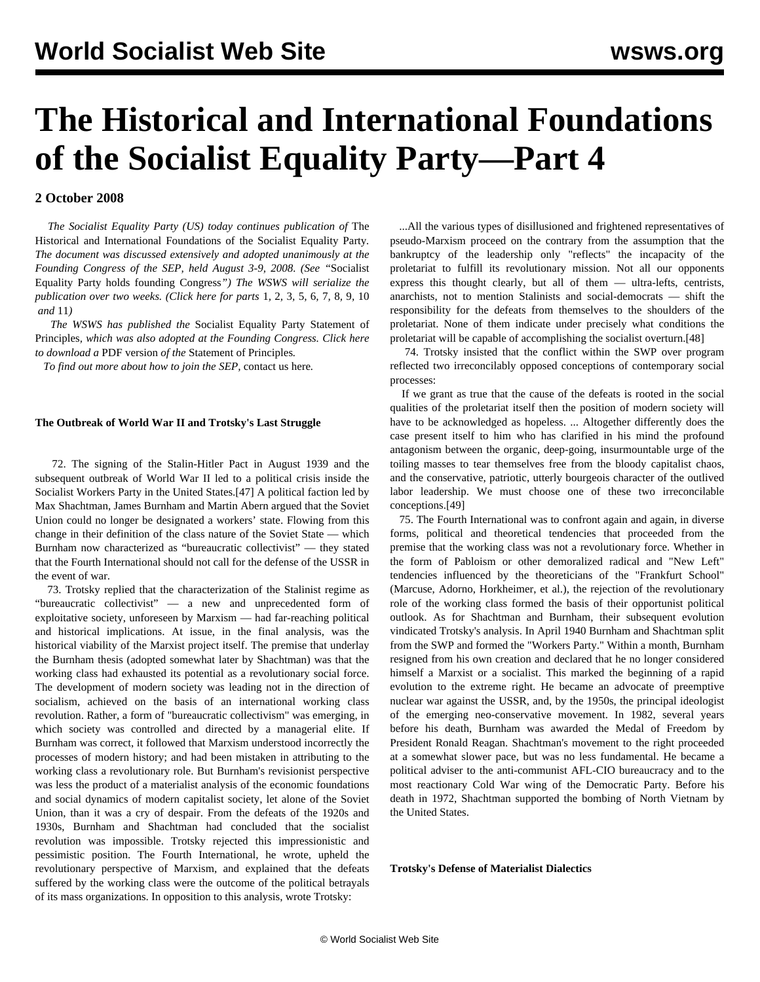# **The Historical and International Foundations of the Socialist Equality Party—Part 4**

### **2 October 2008**

 *The Socialist Equality Party (US) today continues publication of* The Historical and International Foundations of the Socialist Equality Party*. The document was discussed extensively and adopted unanimously at the Founding Congress of the SEP, held August 3-9, 2008. (See "*[Socialist](/en/articles/2008/09/cong-s19.html) [Equality Party holds founding Congress](/en/articles/2008/09/cong-s19.html)*") The WSWS will serialize the publication over two weeks. (Click here for parts* [1](/en/articles/2008/09/hist-s29.html)*,* [2](/en/articles/2008/09/hist-s30.html)*,* [3](/en/articles/2008/10/hist-o01.html)*,* [5](/en/articles/2008/10/hist-o03.html)*,* [6](/en/articles/2008/10/hist-o04.html)*,* [7](/en/articles/2008/10/hist-o06.html)*,* [8](/en/articles/2008/10/hist-o07.html)*,* [9](/en/articles/2008/10/hist-o08.html)*,* [10](/en/articles/2008/10/hist-o09.html)  *and* [11](/en/articles/2008/10/hist-o10.html)*)*

 *The WSWS has published the* [Socialist Equality Party Statement of](/en/articles/2008/09/prin-s25.html) [Principles](/en/articles/2008/09/prin-s25.html)*, which was also adopted at the Founding Congress. Click here to download a* PDF version *of the* Statement of Principles*.*

*To find out more about how to join the SEP,* [contact us here](/en/special/contact.html?type=sep)*.*

#### **The Outbreak of World War II and Trotsky's Last Struggle**

 72. The signing of the Stalin-Hitler Pact in August 1939 and the subsequent outbreak of World War II led to a political crisis inside the Socialist Workers Party in the United States.[47] A political faction led by Max Shachtman, James Burnham and Martin Abern argued that the Soviet Union could no longer be designated a workers' state. Flowing from this change in their definition of the class nature of the Soviet State — which Burnham now characterized as "bureaucratic collectivist" — they stated that the Fourth International should not call for the defense of the USSR in the event of war.

 73. Trotsky replied that the characterization of the Stalinist regime as "bureaucratic collectivist" — a new and unprecedented form of exploitative society, unforeseen by Marxism — had far-reaching political and historical implications. At issue, in the final analysis, was the historical viability of the Marxist project itself. The premise that underlay the Burnham thesis (adopted somewhat later by Shachtman) was that the working class had exhausted its potential as a revolutionary social force. The development of modern society was leading not in the direction of socialism, achieved on the basis of an international working class revolution. Rather, a form of "bureaucratic collectivism" was emerging, in which society was controlled and directed by a managerial elite. If Burnham was correct, it followed that Marxism understood incorrectly the processes of modern history; and had been mistaken in attributing to the working class a revolutionary role. But Burnham's revisionist perspective was less the product of a materialist analysis of the economic foundations and social dynamics of modern capitalist society, let alone of the Soviet Union, than it was a cry of despair. From the defeats of the 1920s and 1930s, Burnham and Shachtman had concluded that the socialist revolution was impossible. Trotsky rejected this impressionistic and pessimistic position. The Fourth International, he wrote, upheld the revolutionary perspective of Marxism, and explained that the defeats suffered by the working class were the outcome of the political betrayals of its mass organizations. In opposition to this analysis, wrote Trotsky:

 ...All the various types of disillusioned and frightened representatives of pseudo-Marxism proceed on the contrary from the assumption that the bankruptcy of the leadership only "reflects" the incapacity of the proletariat to fulfill its revolutionary mission. Not all our opponents express this thought clearly, but all of them — ultra-lefts, centrists, anarchists, not to mention Stalinists and social-democrats — shift the responsibility for the defeats from themselves to the shoulders of the proletariat. None of them indicate under precisely what conditions the proletariat will be capable of accomplishing the socialist overturn.[48]

 74. Trotsky insisted that the conflict within the SWP over program reflected two irreconcilably opposed conceptions of contemporary social processes:

 If we grant as true that the cause of the defeats is rooted in the social qualities of the proletariat itself then the position of modern society will have to be acknowledged as hopeless. ... Altogether differently does the case present itself to him who has clarified in his mind the profound antagonism between the organic, deep-going, insurmountable urge of the toiling masses to tear themselves free from the bloody capitalist chaos, and the conservative, patriotic, utterly bourgeois character of the outlived labor leadership. We must choose one of these two irreconcilable conceptions.[49]

 75. The Fourth International was to confront again and again, in diverse forms, political and theoretical tendencies that proceeded from the premise that the working class was not a revolutionary force. Whether in the form of Pabloism or other demoralized radical and "New Left" tendencies influenced by the theoreticians of the "Frankfurt School" (Marcuse, Adorno, Horkheimer, et al.), the rejection of the revolutionary role of the working class formed the basis of their opportunist political outlook. As for Shachtman and Burnham, their subsequent evolution vindicated Trotsky's analysis. In April 1940 Burnham and Shachtman split from the SWP and formed the "Workers Party." Within a month, Burnham resigned from his own creation and declared that he no longer considered himself a Marxist or a socialist. This marked the beginning of a rapid evolution to the extreme right. He became an advocate of preemptive nuclear war against the USSR, and, by the 1950s, the principal ideologist of the emerging neo-conservative movement. In 1982, several years before his death, Burnham was awarded the Medal of Freedom by President Ronald Reagan. Shachtman's movement to the right proceeded at a somewhat slower pace, but was no less fundamental. He became a political adviser to the anti-communist AFL-CIO bureaucracy and to the most reactionary Cold War wing of the Democratic Party. Before his death in 1972, Shachtman supported the bombing of North Vietnam by the United States.

**Trotsky's Defense of Materialist Dialectics**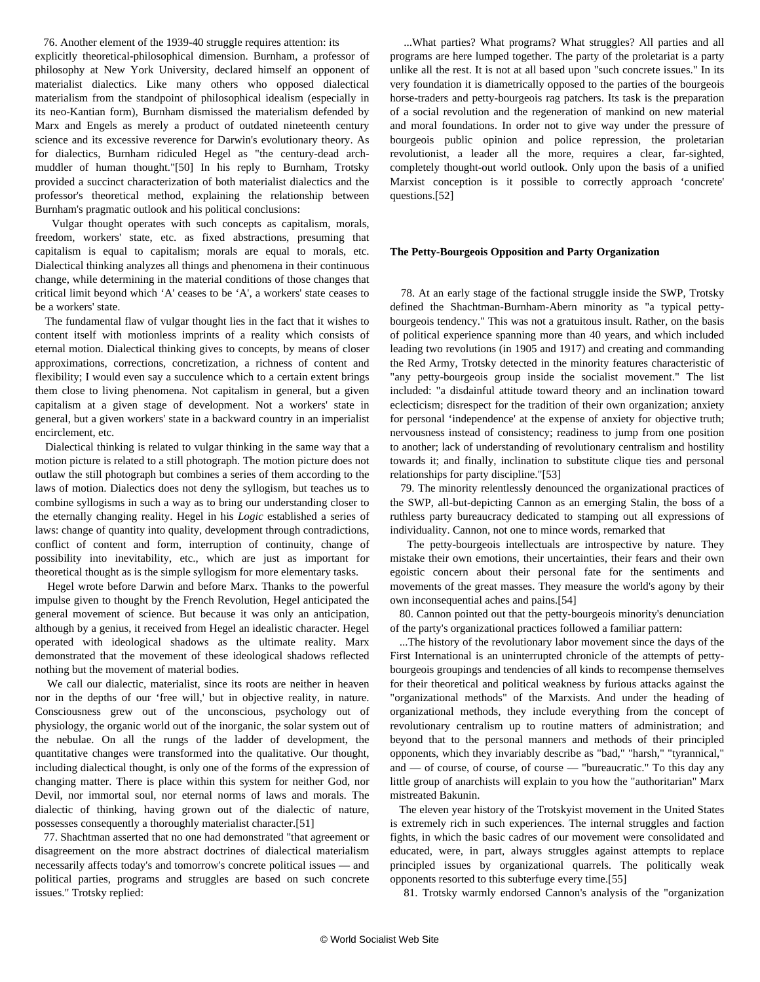76. Another element of the 1939-40 struggle requires attention: its explicitly theoretical-philosophical dimension. Burnham, a professor of philosophy at New York University, declared himself an opponent of materialist dialectics. Like many others who opposed dialectical materialism from the standpoint of philosophical idealism (especially in its neo-Kantian form), Burnham dismissed the materialism defended by Marx and Engels as merely a product of outdated nineteenth century science and its excessive reverence for Darwin's evolutionary theory. As for dialectics, Burnham ridiculed Hegel as "the century-dead archmuddler of human thought."[50] In his reply to Burnham, Trotsky provided a succinct characterization of both materialist dialectics and the professor's theoretical method, explaining the relationship between Burnham's pragmatic outlook and his political conclusions:

 Vulgar thought operates with such concepts as capitalism, morals, freedom, workers' state, etc. as fixed abstractions, presuming that capitalism is equal to capitalism; morals are equal to morals, etc. Dialectical thinking analyzes all things and phenomena in their continuous change, while determining in the material conditions of those changes that critical limit beyond which 'A' ceases to be 'A', a workers' state ceases to be a workers' state.

 The fundamental flaw of vulgar thought lies in the fact that it wishes to content itself with motionless imprints of a reality which consists of eternal motion. Dialectical thinking gives to concepts, by means of closer approximations, corrections, concretization, a richness of content and flexibility; I would even say a succulence which to a certain extent brings them close to living phenomena. Not capitalism in general, but a given capitalism at a given stage of development. Not a workers' state in general, but a given workers' state in a backward country in an imperialist encirclement, etc.

 Dialectical thinking is related to vulgar thinking in the same way that a motion picture is related to a still photograph. The motion picture does not outlaw the still photograph but combines a series of them according to the laws of motion. Dialectics does not deny the syllogism, but teaches us to combine syllogisms in such a way as to bring our understanding closer to the eternally changing reality. Hegel in his *Logic* established a series of laws: change of quantity into quality, development through contradictions, conflict of content and form, interruption of continuity, change of possibility into inevitability, etc., which are just as important for theoretical thought as is the simple syllogism for more elementary tasks.

 Hegel wrote before Darwin and before Marx. Thanks to the powerful impulse given to thought by the French Revolution, Hegel anticipated the general movement of science. But because it was only an anticipation, although by a genius, it received from Hegel an idealistic character. Hegel operated with ideological shadows as the ultimate reality. Marx demonstrated that the movement of these ideological shadows reflected nothing but the movement of material bodies.

 We call our dialectic, materialist, since its roots are neither in heaven nor in the depths of our 'free will,' but in objective reality, in nature. Consciousness grew out of the unconscious, psychology out of physiology, the organic world out of the inorganic, the solar system out of the nebulae. On all the rungs of the ladder of development, the quantitative changes were transformed into the qualitative. Our thought, including dialectical thought, is only one of the forms of the expression of changing matter. There is place within this system for neither God, nor Devil, nor immortal soul, nor eternal norms of laws and morals. The dialectic of thinking, having grown out of the dialectic of nature, possesses consequently a thoroughly materialist character.[51]

 77. Shachtman asserted that no one had demonstrated "that agreement or disagreement on the more abstract doctrines of dialectical materialism necessarily affects today's and tomorrow's concrete political issues — and political parties, programs and struggles are based on such concrete issues." Trotsky replied:

 ...What parties? What programs? What struggles? All parties and all programs are here lumped together. The party of the proletariat is a party unlike all the rest. It is not at all based upon "such concrete issues." In its very foundation it is diametrically opposed to the parties of the bourgeois horse-traders and petty-bourgeois rag patchers. Its task is the preparation of a social revolution and the regeneration of mankind on new material and moral foundations. In order not to give way under the pressure of bourgeois public opinion and police repression, the proletarian revolutionist, a leader all the more, requires a clear, far-sighted, completely thought-out world outlook. Only upon the basis of a unified Marxist conception is it possible to correctly approach 'concrete' questions.[52]

#### **The Petty-Bourgeois Opposition and Party Organization**

 78. At an early stage of the factional struggle inside the SWP, Trotsky defined the Shachtman-Burnham-Abern minority as "a typical pettybourgeois tendency." This was not a gratuitous insult. Rather, on the basis of political experience spanning more than 40 years, and which included leading two revolutions (in 1905 and 1917) and creating and commanding the Red Army, Trotsky detected in the minority features characteristic of "any petty-bourgeois group inside the socialist movement." The list included: "a disdainful attitude toward theory and an inclination toward eclecticism; disrespect for the tradition of their own organization; anxiety for personal 'independence' at the expense of anxiety for objective truth; nervousness instead of consistency; readiness to jump from one position to another; lack of understanding of revolutionary centralism and hostility towards it; and finally, inclination to substitute clique ties and personal relationships for party discipline."[53]

 79. The minority relentlessly denounced the organizational practices of the SWP, all-but-depicting Cannon as an emerging Stalin, the boss of a ruthless party bureaucracy dedicated to stamping out all expressions of individuality. Cannon, not one to mince words, remarked that

 The petty-bourgeois intellectuals are introspective by nature. They mistake their own emotions, their uncertainties, their fears and their own egoistic concern about their personal fate for the sentiments and movements of the great masses. They measure the world's agony by their own inconsequential aches and pains.[54]

 80. Cannon pointed out that the petty-bourgeois minority's denunciation of the party's organizational practices followed a familiar pattern:

 ...The history of the revolutionary labor movement since the days of the First International is an uninterrupted chronicle of the attempts of pettybourgeois groupings and tendencies of all kinds to recompense themselves for their theoretical and political weakness by furious attacks against the "organizational methods" of the Marxists. And under the heading of organizational methods, they include everything from the concept of revolutionary centralism up to routine matters of administration; and beyond that to the personal manners and methods of their principled opponents, which they invariably describe as "bad," "harsh," "tyrannical," and — of course, of course, of course — "bureaucratic." To this day any little group of anarchists will explain to you how the "authoritarian" Marx mistreated Bakunin.

 The eleven year history of the Trotskyist movement in the United States is extremely rich in such experiences. The internal struggles and faction fights, in which the basic cadres of our movement were consolidated and educated, were, in part, always struggles against attempts to replace principled issues by organizational quarrels. The politically weak opponents resorted to this subterfuge every time.[55]

81. Trotsky warmly endorsed Cannon's analysis of the "organization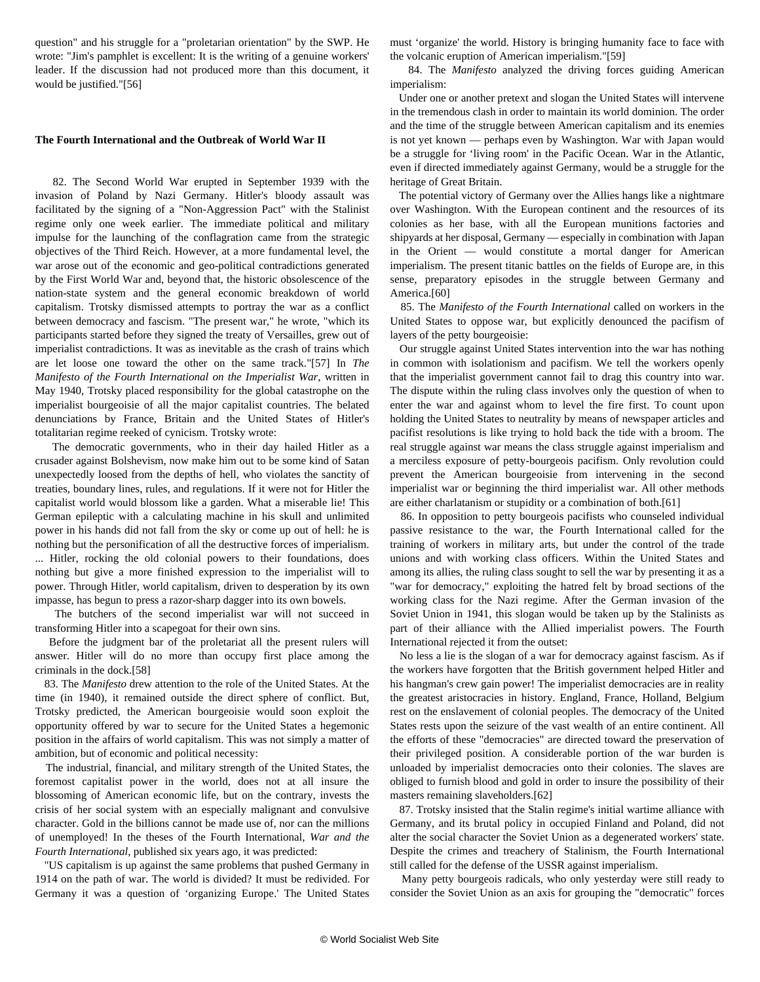question" and his struggle for a "proletarian orientation" by the SWP. He wrote: "Jim's pamphlet is excellent: It is the writing of a genuine workers' leader. If the discussion had not produced more than this document, it would be justified."[56]

#### **The Fourth International and the Outbreak of World War II**

 82. The Second World War erupted in September 1939 with the invasion of Poland by Nazi Germany. Hitler's bloody assault was facilitated by the signing of a "Non-Aggression Pact" with the Stalinist regime only one week earlier. The immediate political and military impulse for the launching of the conflagration came from the strategic objectives of the Third Reich. However, at a more fundamental level, the war arose out of the economic and geo-political contradictions generated by the First World War and, beyond that, the historic obsolescence of the nation-state system and the general economic breakdown of world capitalism. Trotsky dismissed attempts to portray the war as a conflict between democracy and fascism. "The present war," he wrote, "which its participants started before they signed the treaty of Versailles, grew out of imperialist contradictions. It was as inevitable as the crash of trains which are let loose one toward the other on the same track."[57] In *The Manifesto of the Fourth International on the Imperialist War*, written in May 1940, Trotsky placed responsibility for the global catastrophe on the imperialist bourgeoisie of all the major capitalist countries. The belated denunciations by France, Britain and the United States of Hitler's totalitarian regime reeked of cynicism. Trotsky wrote:

 The democratic governments, who in their day hailed Hitler as a crusader against Bolshevism, now make him out to be some kind of Satan unexpectedly loosed from the depths of hell, who violates the sanctity of treaties, boundary lines, rules, and regulations. If it were not for Hitler the capitalist world would blossom like a garden. What a miserable lie! This German epileptic with a calculating machine in his skull and unlimited power in his hands did not fall from the sky or come up out of hell: he is nothing but the personification of all the destructive forces of imperialism. ... Hitler, rocking the old colonial powers to their foundations, does nothing but give a more finished expression to the imperialist will to power. Through Hitler, world capitalism, driven to desperation by its own impasse, has begun to press a razor-sharp dagger into its own bowels.

 The butchers of the second imperialist war will not succeed in transforming Hitler into a scapegoat for their own sins.

 Before the judgment bar of the proletariat all the present rulers will answer. Hitler will do no more than occupy first place among the criminals in the dock.[58]

 83. The *Manifesto* drew attention to the role of the United States. At the time (in 1940), it remained outside the direct sphere of conflict. But, Trotsky predicted, the American bourgeoisie would soon exploit the opportunity offered by war to secure for the United States a hegemonic position in the affairs of world capitalism. This was not simply a matter of ambition, but of economic and political necessity:

 The industrial, financial, and military strength of the United States, the foremost capitalist power in the world, does not at all insure the blossoming of American economic life, but on the contrary, invests the crisis of her social system with an especially malignant and convulsive character. Gold in the billions cannot be made use of, nor can the millions of unemployed! In the theses of the Fourth International, *War and the Fourth International*, published six years ago, it was predicted:

 "US capitalism is up against the same problems that pushed Germany in 1914 on the path of war. The world is divided? It must be redivided. For Germany it was a question of 'organizing Europe.' The United States must 'organize' the world. History is bringing humanity face to face with the volcanic eruption of American imperialism."[59]

 84. The *Manifesto* analyzed the driving forces guiding American imperialism:

 Under one or another pretext and slogan the United States will intervene in the tremendous clash in order to maintain its world dominion. The order and the time of the struggle between American capitalism and its enemies is not yet known — perhaps even by Washington. War with Japan would be a struggle for 'living room' in the Pacific Ocean. War in the Atlantic, even if directed immediately against Germany, would be a struggle for the heritage of Great Britain.

 The potential victory of Germany over the Allies hangs like a nightmare over Washington. With the European continent and the resources of its colonies as her base, with all the European munitions factories and shipyards at her disposal, Germany — especially in combination with Japan in the Orient — would constitute a mortal danger for American imperialism. The present titanic battles on the fields of Europe are, in this sense, preparatory episodes in the struggle between Germany and America.[60]

 85. The *Manifesto of the Fourth International* called on workers in the United States to oppose war, but explicitly denounced the pacifism of layers of the petty bourgeoisie:

 Our struggle against United States intervention into the war has nothing in common with isolationism and pacifism. We tell the workers openly that the imperialist government cannot fail to drag this country into war. The dispute within the ruling class involves only the question of when to enter the war and against whom to level the fire first. To count upon holding the United States to neutrality by means of newspaper articles and pacifist resolutions is like trying to hold back the tide with a broom. The real struggle against war means the class struggle against imperialism and a merciless exposure of petty-bourgeois pacifism. Only revolution could prevent the American bourgeoisie from intervening in the second imperialist war or beginning the third imperialist war. All other methods are either charlatanism or stupidity or a combination of both.[61]

 86. In opposition to petty bourgeois pacifists who counseled individual passive resistance to the war, the Fourth International called for the training of workers in military arts, but under the control of the trade unions and with working class officers. Within the United States and among its allies, the ruling class sought to sell the war by presenting it as a "war for democracy," exploiting the hatred felt by broad sections of the working class for the Nazi regime. After the German invasion of the Soviet Union in 1941, this slogan would be taken up by the Stalinists as part of their alliance with the Allied imperialist powers. The Fourth International rejected it from the outset:

 No less a lie is the slogan of a war for democracy against fascism. As if the workers have forgotten that the British government helped Hitler and his hangman's crew gain power! The imperialist democracies are in reality the greatest aristocracies in history. England, France, Holland, Belgium rest on the enslavement of colonial peoples. The democracy of the United States rests upon the seizure of the vast wealth of an entire continent. All the efforts of these "democracies" are directed toward the preservation of their privileged position. A considerable portion of the war burden is unloaded by imperialist democracies onto their colonies. The slaves are obliged to furnish blood and gold in order to insure the possibility of their masters remaining slaveholders.[62]

 87. Trotsky insisted that the Stalin regime's initial wartime alliance with Germany, and its brutal policy in occupied Finland and Poland, did not alter the social character the Soviet Union as a degenerated workers' state. Despite the crimes and treachery of Stalinism, the Fourth International still called for the defense of the USSR against imperialism.

 Many petty bourgeois radicals, who only yesterday were still ready to consider the Soviet Union as an axis for grouping the "democratic" forces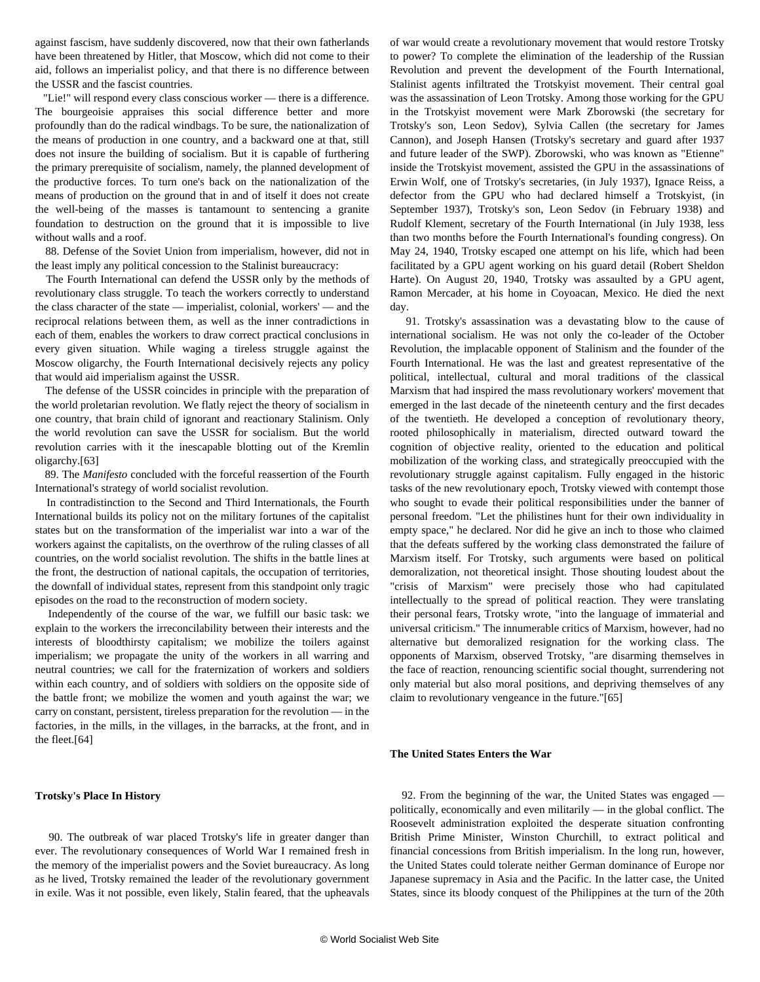against fascism, have suddenly discovered, now that their own fatherlands have been threatened by Hitler, that Moscow, which did not come to their aid, follows an imperialist policy, and that there is no difference between the USSR and the fascist countries.

 "Lie!" will respond every class conscious worker — there is a difference. The bourgeoisie appraises this social difference better and more profoundly than do the radical windbags. To be sure, the nationalization of the means of production in one country, and a backward one at that, still does not insure the building of socialism. But it is capable of furthering the primary prerequisite of socialism, namely, the planned development of the productive forces. To turn one's back on the nationalization of the means of production on the ground that in and of itself it does not create the well-being of the masses is tantamount to sentencing a granite foundation to destruction on the ground that it is impossible to live without walls and a roof.

 88. Defense of the Soviet Union from imperialism, however, did not in the least imply any political concession to the Stalinist bureaucracy:

 The Fourth International can defend the USSR only by the methods of revolutionary class struggle. To teach the workers correctly to understand the class character of the state — imperialist, colonial, workers' — and the reciprocal relations between them, as well as the inner contradictions in each of them, enables the workers to draw correct practical conclusions in every given situation. While waging a tireless struggle against the Moscow oligarchy, the Fourth International decisively rejects any policy that would aid imperialism against the USSR.

 The defense of the USSR coincides in principle with the preparation of the world proletarian revolution. We flatly reject the theory of socialism in one country, that brain child of ignorant and reactionary Stalinism. Only the world revolution can save the USSR for socialism. But the world revolution carries with it the inescapable blotting out of the Kremlin oligarchy.[63]

 89. The *Manifesto* concluded with the forceful reassertion of the Fourth International's strategy of world socialist revolution.

 In contradistinction to the Second and Third Internationals, the Fourth International builds its policy not on the military fortunes of the capitalist states but on the transformation of the imperialist war into a war of the workers against the capitalists, on the overthrow of the ruling classes of all countries, on the world socialist revolution. The shifts in the battle lines at the front, the destruction of national capitals, the occupation of territories, the downfall of individual states, represent from this standpoint only tragic episodes on the road to the reconstruction of modern society.

 Independently of the course of the war, we fulfill our basic task: we explain to the workers the irreconcilability between their interests and the interests of bloodthirsty capitalism; we mobilize the toilers against imperialism; we propagate the unity of the workers in all warring and neutral countries; we call for the fraternization of workers and soldiers within each country, and of soldiers with soldiers on the opposite side of the battle front; we mobilize the women and youth against the war; we carry on constant, persistent, tireless preparation for the revolution — in the factories, in the mills, in the villages, in the barracks, at the front, and in the fleet.[64]

#### **Trotsky's Place In History**

 90. The outbreak of war placed Trotsky's life in greater danger than ever. The revolutionary consequences of World War I remained fresh in the memory of the imperialist powers and the Soviet bureaucracy. As long as he lived, Trotsky remained the leader of the revolutionary government in exile. Was it not possible, even likely, Stalin feared, that the upheavals

of war would create a revolutionary movement that would restore Trotsky to power? To complete the elimination of the leadership of the Russian Revolution and prevent the development of the Fourth International, Stalinist agents infiltrated the Trotskyist movement. Their central goal was the assassination of Leon Trotsky. Among those working for the GPU in the Trotskyist movement were Mark Zborowski (the secretary for Trotsky's son, Leon Sedov), Sylvia Callen (the secretary for James Cannon), and Joseph Hansen (Trotsky's secretary and guard after 1937 and future leader of the SWP). Zborowski, who was known as "Etienne" inside the Trotskyist movement, assisted the GPU in the assassinations of Erwin Wolf, one of Trotsky's secretaries, (in July 1937), Ignace Reiss, a defector from the GPU who had declared himself a Trotskyist, (in September 1937), Trotsky's son, Leon Sedov (in February 1938) and Rudolf Klement, secretary of the Fourth International (in July 1938, less than two months before the Fourth International's founding congress). On May 24, 1940, Trotsky escaped one attempt on his life, which had been facilitated by a GPU agent working on his guard detail (Robert Sheldon Harte). On August 20, 1940, Trotsky was assaulted by a GPU agent, Ramon Mercader, at his home in Coyoacan, Mexico. He died the next day.

 91. Trotsky's assassination was a devastating blow to the cause of international socialism. He was not only the co-leader of the October Revolution, the implacable opponent of Stalinism and the founder of the Fourth International. He was the last and greatest representative of the political, intellectual, cultural and moral traditions of the classical Marxism that had inspired the mass revolutionary workers' movement that emerged in the last decade of the nineteenth century and the first decades of the twentieth. He developed a conception of revolutionary theory, rooted philosophically in materialism, directed outward toward the cognition of objective reality, oriented to the education and political mobilization of the working class, and strategically preoccupied with the revolutionary struggle against capitalism. Fully engaged in the historic tasks of the new revolutionary epoch, Trotsky viewed with contempt those who sought to evade their political responsibilities under the banner of personal freedom. "Let the philistines hunt for their own individuality in empty space," he declared. Nor did he give an inch to those who claimed that the defeats suffered by the working class demonstrated the failure of Marxism itself. For Trotsky, such arguments were based on political demoralization, not theoretical insight. Those shouting loudest about the "crisis of Marxism" were precisely those who had capitulated intellectually to the spread of political reaction. They were translating their personal fears, Trotsky wrote, "into the language of immaterial and universal criticism." The innumerable critics of Marxism, however, had no alternative but demoralized resignation for the working class. The opponents of Marxism, observed Trotsky, "are disarming themselves in the face of reaction, renouncing scientific social thought, surrendering not only material but also moral positions, and depriving themselves of any claim to revolutionary vengeance in the future."[65]

#### **The United States Enters the War**

 92. From the beginning of the war, the United States was engaged politically, economically and even militarily — in the global conflict. The Roosevelt administration exploited the desperate situation confronting British Prime Minister, Winston Churchill, to extract political and financial concessions from British imperialism. In the long run, however, the United States could tolerate neither German dominance of Europe nor Japanese supremacy in Asia and the Pacific. In the latter case, the United States, since its bloody conquest of the Philippines at the turn of the 20th